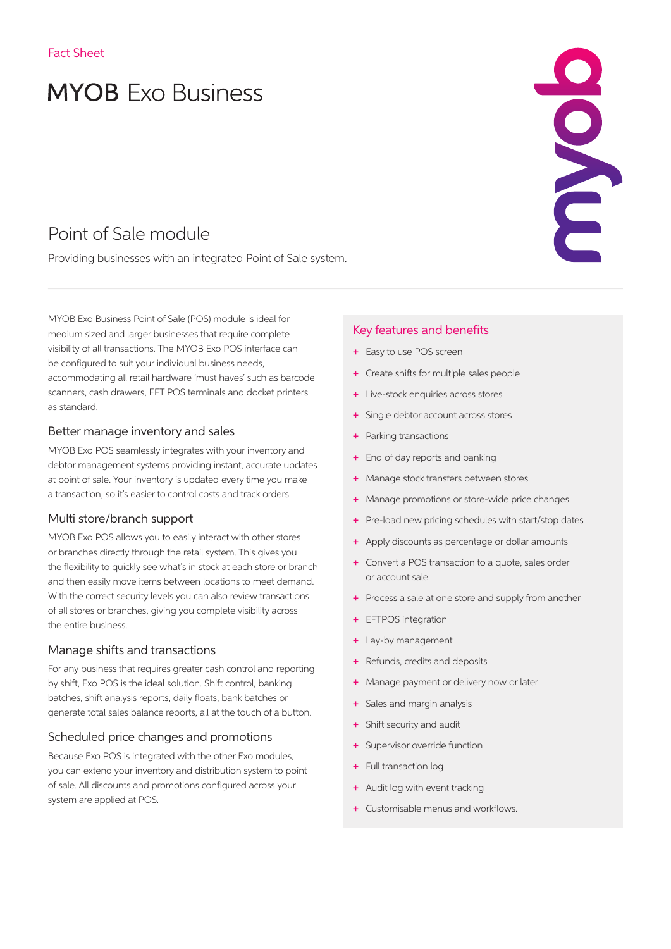# **MYOB** Exo Business

# Point of Sale module

Providing businesses with an integrated Point of Sale system.

MYOB Exo Business Point of Sale (POS) module is ideal for medium sized and larger businesses that require complete visibility of all transactions. The MYOB Exo POS interface can be configured to suit your individual business needs, accommodating all retail hardware 'must haves' such as barcode scanners, cash drawers, EFT POS terminals and docket printers as standard.

#### Better manage inventory and sales

MYOB Exo POS seamlessly integrates with your inventory and debtor management systems providing instant, accurate updates at point of sale. Your inventory is updated every time you make a transaction, so it's easier to control costs and track orders.

#### Multi store/branch support

MYOB Exo POS allows you to easily interact with other stores or branches directly through the retail system. This gives you the flexibility to quickly see what's in stock at each store or branch and then easily move items between locations to meet demand. With the correct security levels you can also review transactions of all stores or branches, giving you complete visibility across the entire business.

#### Manage shifts and transactions

For any business that requires greater cash control and reporting by shift, Exo POS is the ideal solution. Shift control, banking batches, shift analysis reports, daily floats, bank batches or generate total sales balance reports, all at the touch of a button.

#### Scheduled price changes and promotions

Because Exo POS is integrated with the other Exo modules, you can extend your inventory and distribution system to point of sale. All discounts and promotions configured across your system are applied at POS.

#### Key features and benefits

- + Easy to use POS screen
- + Create shifts for multiple sales people
- Live-stock enquiries across stores
- + Single debtor account across stores
- + Parking transactions
- + End of day reports and banking
- + Manage stock transfers between stores
- + Manage promotions or store-wide price changes
- + Pre-load new pricing schedules with start/stop dates

SOVE

- + Apply discounts as percentage or dollar amounts
- + Convert a POS transaction to a quote, sales order or account sale
- + Process a sale at one store and supply from another
- **EFTPOS** integration
- + Lay-by management
- + Refunds, credits and deposits
- Manage payment or delivery now or later
- + Sales and margin analysis
- Shift security and audit
- + Supervisor override function
- + Full transaction log
- + Audit log with event tracking
- + Customisable menus and workflows.